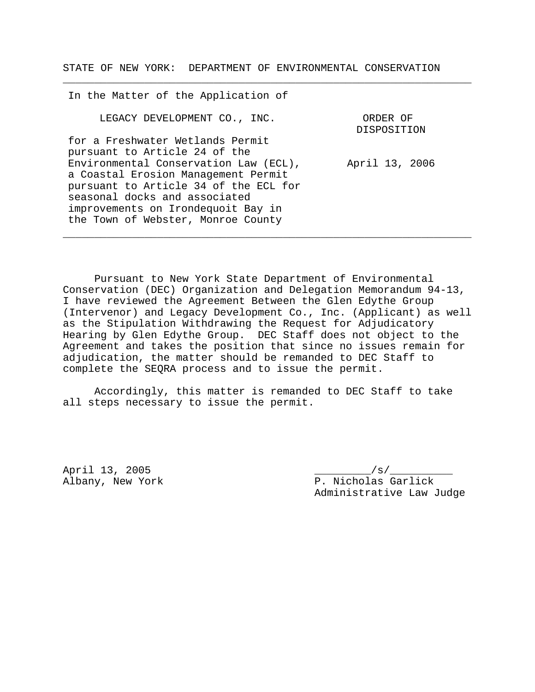STATE OF NEW YORK: DEPARTMENT OF ENVIRONMENTAL CONSERVATION

\_\_\_\_\_\_\_\_\_\_\_\_\_\_\_\_\_\_\_\_\_\_\_\_\_\_\_\_\_\_\_\_\_\_\_\_\_\_\_\_\_\_\_\_\_\_\_\_\_\_\_\_\_\_\_\_\_\_\_\_\_\_\_\_\_

In the Matter of the Application of LEGACY DEVELOPMENT CO., INC. for a Freshwater Wetlands Permit pursuant to Article 24 of the Environmental Conservation Law (ECL), a Coastal Erosion Management Permit pursuant to Article 34 of the ECL for seasonal docks and associated improvements on Irondequoit Bay in the Town of Webster, Monroe County ORDER OF DISPOSITION April 13, 2006

Pursuant to New York State Department of Environmental Conservation (DEC) Organization and Delegation Memorandum 94-13, I have reviewed the Agreement Between the Glen Edythe Group (Intervenor) and Legacy Development Co., Inc. (Applicant) as well as the Stipulation Withdrawing the Request for Adjudicatory Hearing by Glen Edythe Group. DEC Staff does not object to the Agreement and takes the position that since no issues remain for adjudication, the matter should be remanded to DEC Staff to complete the SEQRA process and to issue the permit.

\_\_\_\_\_\_\_\_\_\_\_\_\_\_\_\_\_\_\_\_\_\_\_\_\_\_\_\_\_\_\_\_\_\_\_\_\_\_\_\_\_\_\_\_\_\_\_\_\_\_\_\_\_\_\_\_\_\_\_\_\_\_\_\_\_

Accordingly, this matter is remanded to DEC Staff to take all steps necessary to issue the permit.

April 13, 2005 \_\_\_\_\_\_\_\_\_/s/\_\_\_\_\_\_\_\_\_\_

Albany, New York P. Nicholas Garlick Administrative Law Judge